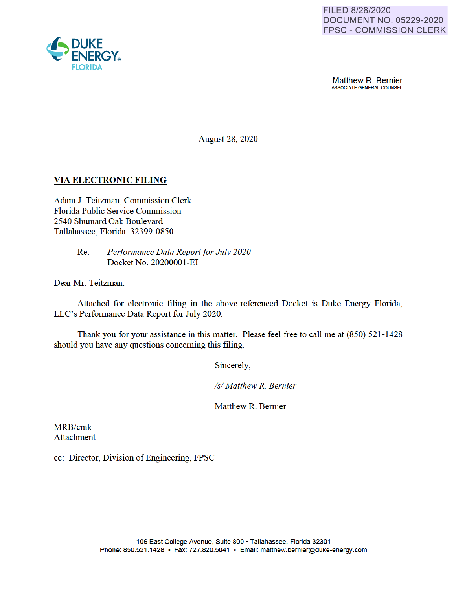

**Matthew R. Bernier**<br>ASSOCIATE GENERAL COUNSEL

August 28, 2020

## **VIA ELECTRONIC FILING**

Adam J. Teitzman, Commission Clerk Florida Public Service Commission 2540 Shumard Oak Boulevard Tallahassee, Florida 32399-0850

> Re: *Performance Data Report for July 2020*  Docket No. 20200001-EI

Dear Mr. Teitzman:

Attached for electronic filing in the above-referenced Docket is Duke Energy Florida, LLC's Performance Data Report for July 2020.

Thank you for your assistance in this matter. Please feel free to call me at (850) 521-1428 should you have any questions concerning this filing.

Sincerely

*Isl Matthew R. Bernier* 

Matthew R. Bernier

MRB/cmk Attachment

cc: Director, Division of Engineering, FPSC

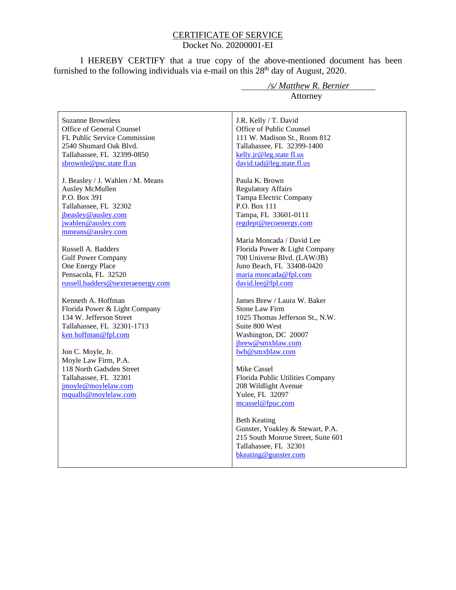### CERTIFICATE OF SERVICE Docket No. 20200001-EI

I HEREBY CERTIFY that a true copy of the above-mentioned document has been furnished to the following individuals via e-mail on this  $28<sup>th</sup>$  day of August, 2020.

Suzanne Brownless Office of General Counsel FL Public Service Commission 2540 Shumard Oak Blvd. Tallahassee, FL 32399-0850 sbrownle@psc.state fl.us

J. Beasley / J. Wahlen / M. Means Ausley McMullen P.O. Box 391 Tallahassee, FL 32302 jbeasley@ausley.com jwahlen@ausley.com mmeans@ausley.com

Russell A. Badders Gulf Power Company One Energy Place Pensacola, FL 32520 russell.badders@nexteraenergy.com

Kenneth A. Hoffman Florida Power & Light Company 134 W. Jefferson Street Tallahassee, FL 32301-1713 ken hoffman@fpl.com

Jon C. Moyle, Jr. Moyle Law Firm, P.A. 118 North Gadsden Street Tallahassee, FL 32301 jmoyle@moylelaw.com mqualls@moylelaw.com

 */s/ Matthew R. Bernier* Attorney

J.R. Kelly / T. David Office of Public Counsel 111 W. Madison St., Room 812 Tallahassee, FL 32399-1400 kelly.jr@leg.state fl.us david.tad@leg.state.fl.us

Paula K. Brown Regulatory Affairs Tampa Electric Company P.O. Box 111 Tampa, FL 33601-0111 regdept@tecoenergy.com

Maria Moncada / David Lee Florida Power & Light Company 700 Universe Blvd. (LAW/JB) Juno Beach, FL 33408-0420 maria moncada@fpl.com david.lee@fpl.com

James Brew / Laura W. Baker Stone Law Firm 1025 Thomas Jefferson St., N.W. Suite 800 West Washington, DC 20007 jbrew@smxblaw.com lwb@smxblaw.com

Mike Cassel Florida Public Utilities Company 208 Wildlight Avenue Yulee, FL 32097 mcassel@fpuc.com

Beth Keating Gunster, Yoakley & Stewart, P.A. 215 South Monroe Street, Suite 601 Tallahassee, FL 32301 bkeating@gunster.com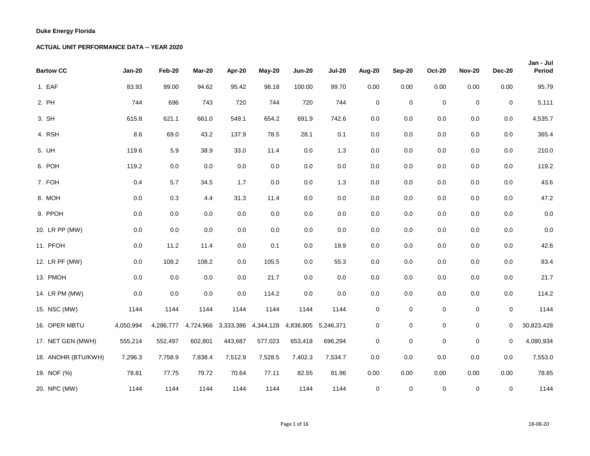| <b>Bartow CC</b>    | <b>Jan-20</b> | Feb-20    | Mar-20    | Apr-20    | May-20    | <b>Jun-20</b>       | <b>Jul-20</b> | Aug-20              | <b>Sep-20</b> | <b>Oct-20</b> | <b>Nov-20</b> | <b>Dec-20</b> | Jan - Jul<br>Period |
|---------------------|---------------|-----------|-----------|-----------|-----------|---------------------|---------------|---------------------|---------------|---------------|---------------|---------------|---------------------|
| 1. EAF              | 83.93         | 99.00     | 94.62     | 95.42     | 98.18     | 100.00              | 99.70         | 0.00                | 0.00          | 0.00          | 0.00          | 0.00          | 95.79               |
| 2. PH               | 744           | 696       | 743       | 720       | 744       | 720                 | 744           | $\pmb{0}$           | $\pmb{0}$     | $\mathbf 0$   | $\mathbf 0$   | $\pmb{0}$     | 5,111               |
| 3. SH               | 615.8         | 621.1     | 661.0     | 549.1     | 654.2     | 691.9               | 742.6         | 0.0                 | $0.0\,$       | $0.0\,$       | $0.0\,$       | 0.0           | 4,535.7             |
| 4. RSH              | 8.6           | 69.0      | 43.2      | 137.9     | 78.5      | 28.1                | 0.1           | $0.0\,$             | $0.0\,$       | 0.0           | $0.0\,$       | $0.0\,$       | 365.4               |
| 5. UH               | 119.6         | 5.9       | 38.9      | 33.0      | 11.4      | 0.0                 | 1.3           | $0.0\,$             | $0.0\,$       | 0.0           | $0.0\,$       | $0.0\,$       | 210.0               |
| 6. POH              | 119.2         | $0.0\,$   | $0.0\,$   | 0.0       | $0.0\,$   | 0.0                 | 0.0           | $0.0\,$             | $0.0\,$       | $0.0\,$       | $0.0\,$       | $0.0\,$       | 119.2               |
| 7. FOH              | 0.4           | 5.7       | 34.5      | 1.7       | $0.0\,$   | 0.0                 | 1.3           | 0.0                 | 0.0           | $0.0\,$       | 0.0           | 0.0           | 43.6                |
| 8. MOH              | $0.0\,$       | 0.3       | 4.4       | 31.3      | 11.4      | 0.0                 | 0.0           | 0.0                 | 0.0           | 0.0           | 0.0           | 0.0           | 47.2                |
| 9. PPOH             | $0.0\,$       | $0.0\,$   | $0.0\,$   | 0.0       | $0.0\,$   | 0.0                 | $0.0\,$       | 0.0                 | $0.0\,$       | $0.0\,$       | $0.0\,$       | $0.0\,$       | $0.0\,$             |
| 10. LR PP (MW)      | $0.0\,$       | $0.0\,$   | $0.0\,$   | $0.0\,$   | $0.0\,$   | 0.0                 | 0.0           | 0.0                 | $0.0\,$       | $0.0\,$       | $0.0\,$       | $0.0\,$       | $0.0\,$             |
| 11. PFOH            | 0.0           | 11.2      | 11.4      | $0.0\,$   | 0.1       | 0.0                 | 19.9          | 0.0                 | $0.0\,$       | $0.0\,$       | $0.0\,$       | 0.0           | 42.6                |
| 12. LR PF (MW)      | 0.0           | 108.2     | 108.2     | 0.0       | 105.5     | 0.0                 | 55.3          | 0.0                 | 0.0           | 0.0           | 0.0           | 0.0           | 83.4                |
| 13. PMOH            | 0.0           | 0.0       | $0.0\,$   | $0.0\,$   | 21.7      | 0.0                 | 0.0           | 0.0                 | $0.0\,$       | $0.0\,$       | $0.0\,$       | $0.0\,$       | 21.7                |
| 14. LR PM (MW)      | 0.0           | 0.0       | $0.0\,$   | 0.0       | 114.2     | 0.0                 | 0.0           | $0.0\,$             | $0.0\,$       | $0.0\,$       | $0.0\,$       | $0.0\,$       | 114.2               |
| 15. NSC (MW)        | 1144          | 1144      | 1144      | 1144      | 1144      | 1144                | 1144          | $\pmb{0}$           | $\pmb{0}$     | 0             | $\pmb{0}$     | $\pmb{0}$     | 1144                |
| 16. OPER MBTU       | 4,050,994     | 4,286,777 | 4,724,966 | 3,333,386 | 4,344,128 | 4,836,805 5,246,371 |               | $\mathbf 0$         | 0             | $\mathbf 0$   | $\mathbf 0$   | $\mathbf 0$   | 30,823,428          |
| 17. NET GEN (MWH)   | 555,214       | 552,497   | 602,801   | 443,687   | 577,023   | 653,418             | 696,294       | $\mathsf{O}\xspace$ | $\pmb{0}$     | $\mathsf 0$   | $\pmb{0}$     | $\mathbf 0$   | 4,080,934           |
| 18. ANOHR (BTU/KWH) | 7,296.3       | 7,758.9   | 7,838.4   | 7,512.9   | 7,528.5   | 7,402.3             | 7,534.7       | $0.0\,$             | 0.0           | $0.0\,$       | $0.0\,$       | $0.0\,$       | 7,553.0             |
| 19. NOF (%)         | 78.81         | 77.75     | 79.72     | 70.64     | 77.11     | 82.55               | 81.96         | 0.00                | 0.00          | 0.00          | 0.00          | 0.00          | 78.65               |
| 20. NPC (MW)        | 1144          | 1144      | 1144      | 1144      | 1144      | 1144                | 1144          | $\mathbf 0$         | $\pmb{0}$     | 0             | $\pmb{0}$     | 0             | 1144                |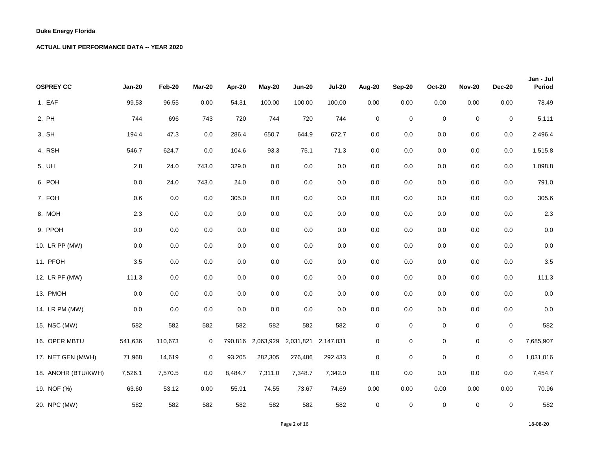| <b>OSPREY CC</b>    | <b>Jan-20</b> | Feb-20  | Mar-20  | Apr-20  | May-20    | <b>Jun-20</b>       | <b>Jul-20</b> | Aug-20              | <b>Sep-20</b> | <b>Oct-20</b> | <b>Nov-20</b> | <b>Dec-20</b> | Jan - Jul<br>Period |
|---------------------|---------------|---------|---------|---------|-----------|---------------------|---------------|---------------------|---------------|---------------|---------------|---------------|---------------------|
|                     |               |         |         |         |           |                     |               |                     |               |               |               |               |                     |
| 1. EAF              | 99.53         | 96.55   | 0.00    | 54.31   | 100.00    | 100.00              | 100.00        | 0.00                | $0.00\,$      | 0.00          | 0.00          | 0.00          | 78.49               |
| 2. PH               | 744           | 696     | 743     | 720     | 744       | 720                 | 744           | $\pmb{0}$           | $\pmb{0}$     | $\mathbf 0$   | $\mathbf 0$   | $\mathbf 0$   | 5,111               |
| 3. SH               | 194.4         | 47.3    | 0.0     | 286.4   | 650.7     | 644.9               | 672.7         | 0.0                 | $0.0\,$       | 0.0           | 0.0           | 0.0           | 2,496.4             |
| 4. RSH              | 546.7         | 624.7   | 0.0     | 104.6   | 93.3      | 75.1                | 71.3          | 0.0                 | 0.0           | 0.0           | 0.0           | 0.0           | 1,515.8             |
| 5. UH               | 2.8           | 24.0    | 743.0   | 329.0   | $0.0\,$   | $0.0\,$             | $0.0\,$       | 0.0                 | 0.0           | 0.0           | 0.0           | 0.0           | 1,098.8             |
| 6. POH              | $0.0\,$       | 24.0    | 743.0   | 24.0    | $0.0\,$   | $0.0\,$             | $0.0\,$       | 0.0                 | $0.0\,$       | 0.0           | $0.0\,$       | $0.0\,$       | 791.0               |
| 7. FOH              | 0.6           | 0.0     | 0.0     | 305.0   | 0.0       | $0.0\,$             | 0.0           | $0.0\,$             | $0.0\,$       | 0.0           | 0.0           | $0.0\,$       | 305.6               |
| 8. MOH              | 2.3           | 0.0     | 0.0     | 0.0     | $0.0\,$   | 0.0                 | 0.0           | 0.0                 | 0.0           | 0.0           | 0.0           | $0.0\,$       | $2.3\,$             |
| 9. PPOH             | $0.0\,$       | 0.0     | 0.0     | 0.0     | 0.0       | $0.0\,$             | 0.0           | 0.0                 | 0.0           | 0.0           | 0.0           | $0.0\,$       | 0.0                 |
| 10. LR PP (MW)      | $0.0\,$       | 0.0     | 0.0     | $0.0\,$ | 0.0       | $0.0\,$             | $0.0\,$       | 0.0                 | $0.0\,$       | 0.0           | 0.0           | 0.0           | 0.0                 |
| 11. PFOH            | 3.5           | $0.0\,$ | 0.0     | 0.0     | 0.0       | $0.0\,$             | 0.0           | 0.0                 | 0.0           | 0.0           | $0.0\,$       | 0.0           | 3.5                 |
| 12. LR PF (MW)      | 111.3         | 0.0     | 0.0     | $0.0\,$ | $0.0\,$   | $0.0\,$             | $0.0\,$       | 0.0                 | 0.0           | 0.0           | $0.0\,$       | $0.0\,$       | 111.3               |
| 13. PMOH            | 0.0           | 0.0     | 0.0     | 0.0     | 0.0       | 0.0                 | 0.0           | 0.0                 | $0.0\,$       | 0.0           | 0.0           | $0.0\,$       | 0.0                 |
| 14. LR PM (MW)      | 0.0           | 0.0     | $0.0\,$ | 0.0     | 0.0       | $0.0\,$             | 0.0           | $0.0\,$             | $0.0\,$       | 0.0           | 0.0           | 0.0           | 0.0                 |
| 15. NSC (MW)        | 582           | 582     | 582     | 582     | 582       | 582                 | 582           | $\pmb{0}$           | 0             | 0             | $\mathsf 0$   | 0             | 582                 |
| 16. OPER MBTU       | 541,636       | 110,673 | 0       | 790,816 | 2,063,929 | 2,031,821 2,147,031 |               | $\mathsf{O}\xspace$ | 0             | $\mathbf 0$   | $\mathbf 0$   | $\mathbf 0$   | 7,685,907           |
| 17. NET GEN (MWH)   | 71,968        | 14,619  | 0       | 93,205  | 282,305   | 276,486             | 292,433       | 0                   | 0             | 0             | $\mathbf 0$   | 0             | 1,031,016           |
| 18. ANOHR (BTU/KWH) | 7,526.1       | 7,570.5 | 0.0     | 8,484.7 | 7,311.0   | 7,348.7             | 7,342.0       | 0.0                 | 0.0           | 0.0           | 0.0           | 0.0           | 7,454.7             |
| 19. NOF (%)         | 63.60         | 53.12   | 0.00    | 55.91   | 74.55     | 73.67               | 74.69         | 0.00                | 0.00          | 0.00          | 0.00          | 0.00          | 70.96               |
| 20. NPC (MW)        | 582           | 582     | 582     | 582     | 582       | 582                 | 582           | $\mathbf 0$         | $\mathbf 0$   | $\mathbf 0$   | $\mathbf 0$   | $\mathbf 0$   | 582                 |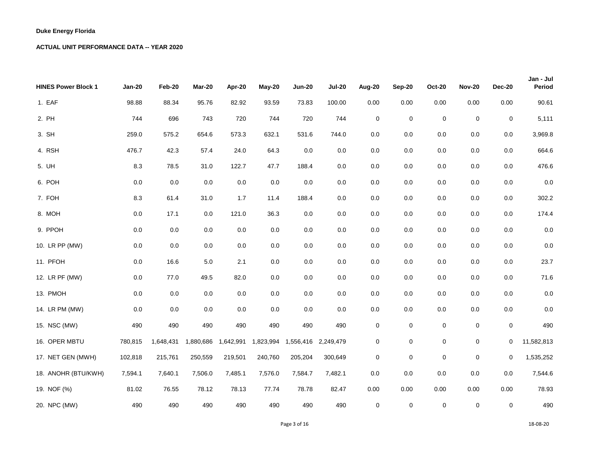| <b>HINES Power Block 1</b> | <b>Jan-20</b> | Feb-20    | Mar-20    | Apr-20    | May-20    | <b>Jun-20</b> | <b>Jul-20</b> | <b>Aug-20</b> | Sep-20      | <b>Oct-20</b> | <b>Nov-20</b> | <b>Dec-20</b> | Jan - Jul<br>Period |
|----------------------------|---------------|-----------|-----------|-----------|-----------|---------------|---------------|---------------|-------------|---------------|---------------|---------------|---------------------|
| 1. EAF                     | 98.88         | 88.34     | 95.76     | 82.92     | 93.59     | 73.83         | 100.00        | 0.00          | $0.00\,$    | 0.00          | 0.00          | 0.00          | 90.61               |
| 2. PH                      | 744           | 696       | 743       | 720       | 744       | 720           | 744           | $\pmb{0}$     | $\pmb{0}$   | $\mathbf 0$   | $\mathbf 0$   | $\mathbf 0$   | 5,111               |
| 3. SH                      | 259.0         | 575.2     | 654.6     | 573.3     | 632.1     | 531.6         | 744.0         | 0.0           | $0.0\,$     | 0.0           | 0.0           | 0.0           | 3,969.8             |
| 4. RSH                     | 476.7         | 42.3      | 57.4      | 24.0      | 64.3      | 0.0           | $0.0\,$       | 0.0           | 0.0         | 0.0           | 0.0           | 0.0           | 664.6               |
| 5. UH                      | 8.3           | 78.5      | 31.0      | 122.7     | 47.7      | 188.4         | 0.0           | 0.0           | 0.0         | 0.0           | 0.0           | $0.0\,$       | 476.6               |
| 6. POH                     | $0.0\,$       | 0.0       | $0.0\,$   | $0.0\,$   | $0.0\,$   | $0.0\,$       | $0.0\,$       | 0.0           | $0.0\,$     | 0.0           | $0.0\,$       | $0.0\,$       | 0.0                 |
| 7. FOH                     | 8.3           | 61.4      | 31.0      | 1.7       | 11.4      | 188.4         | 0.0           | 0.0           | 0.0         | 0.0           | 0.0           | 0.0           | 302.2               |
| 8. MOH                     | $0.0\,$       | 17.1      | 0.0       | 121.0     | 36.3      | $0.0\,$       | 0.0           | 0.0           | 0.0         | 0.0           | 0.0           | 0.0           | 174.4               |
| 9. PPOH                    | 0.0           | 0.0       | 0.0       | 0.0       | 0.0       | $0.0\,$       | 0.0           | 0.0           | 0.0         | 0.0           | 0.0           | 0.0           | 0.0                 |
| 10. LR PP (MW)             | $0.0\,$       | $0.0\,$   | 0.0       | 0.0       | 0.0       | $0.0\,$       | $0.0\,$       | 0.0           | 0.0         | 0.0           | 0.0           | $0.0\,$       | 0.0                 |
| 11. PFOH                   | 0.0           | 16.6      | $5.0\,$   | 2.1       | 0.0       | $0.0\,$       | 0.0           | 0.0           | 0.0         | 0.0           | $0.0\,$       | $0.0\,$       | 23.7                |
| 12. LR PF (MW)             | $0.0\,$       | 77.0      | 49.5      | 82.0      | $0.0\,$   | 0.0           | $0.0\,$       | 0.0           | 0.0         | 0.0           | $0.0\,$       | $0.0\,$       | 71.6                |
| 13. PMOH                   | 0.0           | 0.0       | 0.0       | 0.0       | 0.0       | 0.0           | 0.0           | 0.0           | 0.0         | 0.0           | 0.0           | $0.0\,$       | 0.0                 |
| 14. LR PM (MW)             | 0.0           | 0.0       | 0.0       | 0.0       | $0.0\,$   | $0.0\,$       | 0.0           | $0.0\,$       | 0.0         | 0.0           | 0.0           | $0.0\,$       | 0.0                 |
| 15. NSC (MW)               | 490           | 490       | 490       | 490       | 490       | 490           | 490           | $\pmb{0}$     | 0           | $\mathbf 0$   | $\pmb{0}$     | $\pmb{0}$     | 490                 |
| 16. OPER MBTU              | 780,815       | 1,648,431 | 1,880,686 | 1,642,991 | 1,823,994 | 1,556,416     | 2,249,479     | $\mathsf 0$   | 0           | 0             | $\pmb{0}$     | 0             | 11,582,813          |
| 17. NET GEN (MWH)          | 102,818       | 215,761   | 250,559   | 219,501   | 240,760   | 205,204       | 300,649       | 0             | 0           | 0             | $\mathbf 0$   | 0             | 1,535,252           |
| 18. ANOHR (BTU/KWH)        | 7,594.1       | 7,640.1   | 7,506.0   | 7,485.1   | 7,576.0   | 7,584.7       | 7,482.1       | 0.0           | 0.0         | 0.0           | 0.0           | 0.0           | 7,544.6             |
| 19. NOF (%)                | 81.02         | 76.55     | 78.12     | 78.13     | 77.74     | 78.78         | 82.47         | 0.00          | 0.00        | 0.00          | 0.00          | 0.00          | 78.93               |
| 20. NPC (MW)               | 490           | 490       | 490       | 490       | 490       | 490           | 490           | $\mathbf 0$   | $\mathbf 0$ | $\mathbf 0$   | $\mathbf 0$   | $\mathbf 0$   | 490                 |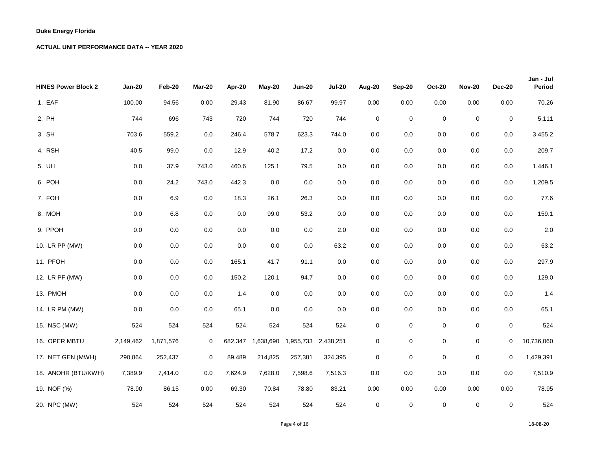| <b>HINES Power Block 2</b> | <b>Jan-20</b> | Feb-20    | Mar-20      | Apr-20  | May-20    | <b>Jun-20</b> | <b>Jul-20</b> | <b>Aug-20</b> | Sep-20      | <b>Oct-20</b> | <b>Nov-20</b> | <b>Dec-20</b> | Jan - Jul<br>Period |
|----------------------------|---------------|-----------|-------------|---------|-----------|---------------|---------------|---------------|-------------|---------------|---------------|---------------|---------------------|
| 1. EAF                     | 100.00        | 94.56     | 0.00        | 29.43   | 81.90     | 86.67         | 99.97         | 0.00          | $0.00\,$    | 0.00          | 0.00          | 0.00          | 70.26               |
| 2. PH                      | 744           | 696       | 743         | 720     | 744       | 720           | 744           | $\pmb{0}$     | $\pmb{0}$   | $\mathbf 0$   | $\mathbf 0$   | $\mathbf 0$   | 5,111               |
| 3. SH                      | 703.6         | 559.2     | 0.0         | 246.4   | 578.7     | 623.3         | 744.0         | 0.0           | $0.0\,$     | 0.0           | 0.0           | 0.0           | 3,455.2             |
| 4. RSH                     | 40.5          | 99.0      | 0.0         | 12.9    | 40.2      | 17.2          | $0.0\,$       | 0.0           | 0.0         | 0.0           | 0.0           | 0.0           | 209.7               |
| 5. UH                      | $0.0\,$       | 37.9      | 743.0       | 460.6   | 125.1     | 79.5          | 0.0           | 0.0           | 0.0         | 0.0           | 0.0           | 0.0           | 1,446.1             |
| 6. POH                     | $0.0\,$       | 24.2      | 743.0       | 442.3   | $0.0\,$   | $0.0\,$       | $0.0\,$       | 0.0           | $0.0\,$     | 0.0           | $0.0\,$       | $0.0\,$       | 1,209.5             |
| 7. FOH                     | $0.0\,$       | 6.9       | 0.0         | 18.3    | 26.1      | 26.3          | 0.0           | 0.0           | 0.0         | 0.0           | 0.0           | 0.0           | 77.6                |
| 8. MOH                     | 0.0           | $6.8\,$   | $0.0\,$     | 0.0     | 99.0      | 53.2          | 0.0           | 0.0           | 0.0         | 0.0           | 0.0           | $0.0\,$       | 159.1               |
| 9. PPOH                    | 0.0           | 0.0       | 0.0         | 0.0     | 0.0       | $0.0\,$       | 2.0           | 0.0           | 0.0         | 0.0           | 0.0           | 0.0           | 2.0                 |
| 10. LR PP (MW)             | $0.0\,$       | $0.0\,$   | 0.0         | 0.0     | 0.0       | $0.0\,$       | 63.2          | 0.0           | 0.0         | 0.0           | 0.0           | $0.0\,$       | 63.2                |
| 11. PFOH                   | $0.0\,$       | 0.0       | 0.0         | 165.1   | 41.7      | 91.1          | 0.0           | 0.0           | 0.0         | 0.0           | $0.0\,$       | 0.0           | 297.9               |
| 12. LR PF (MW)             | $0.0\,$       | $0.0\,$   | 0.0         | 150.2   | 120.1     | 94.7          | $0.0\,$       | 0.0           | 0.0         | 0.0           | $0.0\,$       | $0.0\,$       | 129.0               |
| 13. PMOH                   | 0.0           | 0.0       | 0.0         | 1.4     | $0.0\,$   | $0.0\,$       | 0.0           | 0.0           | 0.0         | 0.0           | 0.0           | $0.0\,$       | 1.4                 |
| 14. LR PM (MW)             | 0.0           | 0.0       | 0.0         | 65.1    | $0.0\,$   | $0.0\,$       | 0.0           | $0.0\,$       | 0.0         | 0.0           | $0.0\,$       | 0.0           | 65.1                |
| 15. NSC (MW)               | 524           | 524       | 524         | 524     | 524       | 524           | 524           | $\pmb{0}$     | 0           | 0             | $\pmb{0}$     | 0             | 524                 |
| 16. OPER MBTU              | 2,149,462     | 1,871,576 | $\mathbf 0$ | 682,347 | 1,638,690 | 1,955,733     | 2,438,251     | $\pmb{0}$     | 0           | $\mathbf 0$   | $\mathbf 0$   | $\mathbf 0$   | 10,736,060          |
| 17. NET GEN (MWH)          | 290,864       | 252,437   | $\mathbf 0$ | 89,489  | 214,825   | 257,381       | 324,395       | 0             | 0           | 0             | $\mathbf 0$   | 0             | 1,429,391           |
| 18. ANOHR (BTU/KWH)        | 7,389.9       | 7,414.0   | 0.0         | 7,624.9 | 7,628.0   | 7,598.6       | 7,516.3       | 0.0           | $0.0\,$     | 0.0           | 0.0           | 0.0           | 7,510.9             |
| 19. NOF (%)                | 78.90         | 86.15     | 0.00        | 69.30   | 70.84     | 78.80         | 83.21         | 0.00          | 0.00        | 0.00          | 0.00          | 0.00          | 78.95               |
| 20. NPC (MW)               | 524           | 524       | 524         | 524     | 524       | 524           | 524           | $\mathbf 0$   | $\mathbf 0$ | $\mathbf 0$   | $\mathbf 0$   | $\mathbf 0$   | 524                 |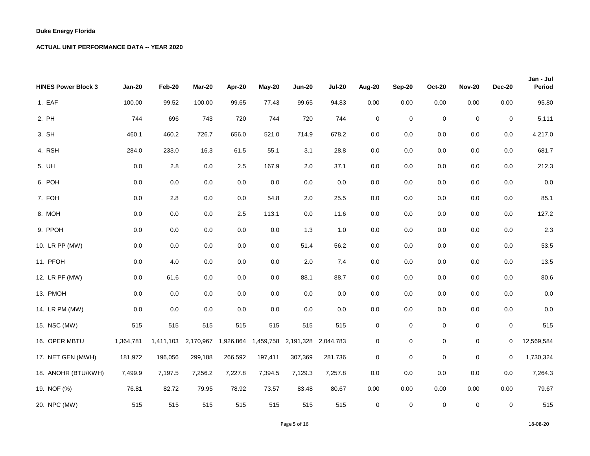| <b>HINES Power Block 3</b> | <b>Jan-20</b> | Feb-20    | Mar-20    | Apr-20    | May-20    | <b>Jun-20</b>       | <b>Jul-20</b> | <b>Aug-20</b> | Sep-20    | <b>Oct-20</b> | <b>Nov-20</b> | <b>Dec-20</b> | Jan - Jul<br>Period |
|----------------------------|---------------|-----------|-----------|-----------|-----------|---------------------|---------------|---------------|-----------|---------------|---------------|---------------|---------------------|
| 1. EAF                     | 100.00        | 99.52     | 100.00    | 99.65     | 77.43     | 99.65               | 94.83         | 0.00          | $0.00\,$  | 0.00          | 0.00          | 0.00          | 95.80               |
| 2. PH                      | 744           | 696       | 743       | 720       | 744       | 720                 | 744           | $\pmb{0}$     | $\pmb{0}$ | $\mathbf 0$   | $\mathbf 0$   | $\pmb{0}$     | 5,111               |
| 3. SH                      | 460.1         | 460.2     | 726.7     | 656.0     | 521.0     | 714.9               | 678.2         | 0.0           | $0.0\,$   | 0.0           | 0.0           | 0.0           | 4,217.0             |
| 4. RSH                     | 284.0         | 233.0     | 16.3      | 61.5      | 55.1      | 3.1                 | 28.8          | 0.0           | 0.0       | 0.0           | 0.0           | 0.0           | 681.7               |
| 5. UH                      | $0.0\,$       | 2.8       | $0.0\,$   | 2.5       | 167.9     | 2.0                 | 37.1          | 0.0           | 0.0       | 0.0           | 0.0           | $0.0\,$       | 212.3               |
| 6. POH                     | 0.0           | $0.0\,$   | 0.0       | 0.0       | 0.0       | $0.0\,$             | 0.0           | 0.0           | 0.0       | 0.0           | 0.0           | 0.0           | 0.0                 |
| 7. FOH                     | $0.0\,$       | 2.8       | $0.0\,$   | 0.0       | 54.8      | 2.0                 | 25.5          | 0.0           | $0.0\,$   | 0.0           | $0.0\,$       | $0.0\,$       | 85.1                |
| 8. MOH                     | 0.0           | 0.0       | 0.0       | 2.5       | 113.1     | 0.0                 | 11.6          | 0.0           | $0.0\,$   | 0.0           | 0.0           | 0.0           | 127.2               |
| 9. PPOH                    | 0.0           | 0.0       | 0.0       | 0.0       | 0.0       | $1.3$               | 1.0           | 0.0           | 0.0       | 0.0           | 0.0           | 0.0           | 2.3                 |
| 10. LR PP (MW)             | 0.0           | 0.0       | 0.0       | 0.0       | $0.0\,$   | 51.4                | 56.2          | 0.0           | 0.0       | 0.0           | $0.0\,$       | 0.0           | 53.5                |
| 11. PFOH                   | $0.0\,$       | 4.0       | $0.0\,$   | $0.0\,$   | 0.0       | 2.0                 | 7.4           | $0.0\,$       | 0.0       | 0.0           | 0.0           | $0.0\,$       | 13.5                |
| 12. LR PF (MW)             | 0.0           | 61.6      | 0.0       | 0.0       | $0.0\,$   | 88.1                | 88.7          | $0.0\,$       | 0.0       | $0.0\,$       | $0.0\,$       | $0.0\,$       | 80.6                |
| 13. PMOH                   | $0.0\,$       | 0.0       | $0.0\,$   | 0.0       | $0.0\,$   | $0.0\,$             | 0.0           | 0.0           | 0.0       | 0.0           | 0.0           | 0.0           | 0.0                 |
| 14. LR PM (MW)             | 0.0           | 0.0       | 0.0       | 0.0       | 0.0       | 0.0                 | 0.0           | 0.0           | 0.0       | 0.0           | $0.0\,$       | $0.0\,$       | 0.0                 |
| 15. NSC (MW)               | 515           | 515       | 515       | 515       | 515       | 515                 | 515           | $\pmb{0}$     | 0         | 0             | $\pmb{0}$     | $\mathbf 0$   | 515                 |
| 16. OPER MBTU              | 1,364,781     | 1,411,103 | 2,170,967 | 1,926,864 | 1,459,758 | 2,191,328 2,044,783 |               | $\pmb{0}$     | 0         | 0             | $\pmb{0}$     | 0             | 12,569,584          |
| 17. NET GEN (MWH)          | 181,972       | 196,056   | 299,188   | 266,592   | 197,411   | 307,369             | 281,736       | $\mathbf 0$   | 0         | $\mathbf 0$   | $\mathbf 0$   | $\mathbf 0$   | 1,730,324           |
| 18. ANOHR (BTU/KWH)        | 7,499.9       | 7,197.5   | 7,256.2   | 7,227.8   | 7,394.5   | 7,129.3             | 7,257.8       | 0.0           | 0.0       | 0.0           | 0.0           | 0.0           | 7,264.3             |
| 19. NOF (%)                | 76.81         | 82.72     | 79.95     | 78.92     | 73.57     | 83.48               | 80.67         | 0.00          | 0.00      | 0.00          | 0.00          | 0.00          | 79.67               |
| 20. NPC (MW)               | 515           | 515       | 515       | 515       | 515       | 515                 | 515           | $\mathbf 0$   | $\pmb{0}$ | $\mathbf 0$   | $\mathbf 0$   | $\mathbf 0$   | 515                 |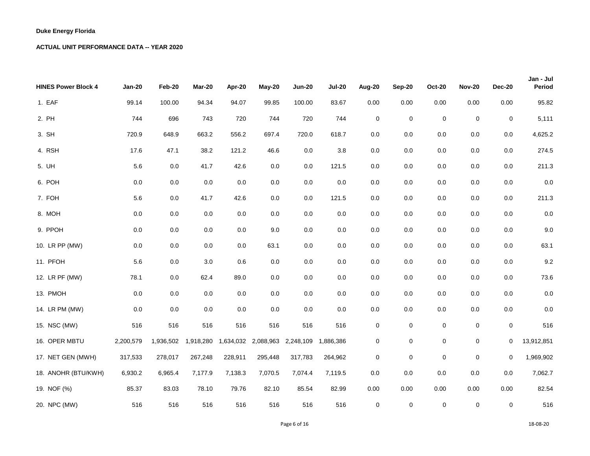| <b>HINES Power Block 4</b> | <b>Jan-20</b> | Feb-20    | Mar-20    | Apr-20    | May-20    | <b>Jun-20</b> | <b>Jul-20</b> | <b>Aug-20</b> | Sep-20      | <b>Oct-20</b> | <b>Nov-20</b> | <b>Dec-20</b> | Jan - Jul<br>Period |
|----------------------------|---------------|-----------|-----------|-----------|-----------|---------------|---------------|---------------|-------------|---------------|---------------|---------------|---------------------|
| 1. EAF                     | 99.14         | 100.00    | 94.34     | 94.07     | 99.85     | 100.00        | 83.67         | 0.00          | $0.00\,$    | 0.00          | 0.00          | 0.00          | 95.82               |
| 2. PH                      | 744           | 696       | 743       | 720       | 744       | 720           | 744           | $\pmb{0}$     | $\pmb{0}$   | $\mathbf 0$   | $\mathbf 0$   | $\mathbf 0$   | 5,111               |
| 3. SH                      | 720.9         | 648.9     | 663.2     | 556.2     | 697.4     | 720.0         | 618.7         | 0.0           | $0.0\,$     | 0.0           | 0.0           | 0.0           | 4,625.2             |
| 4. RSH                     | 17.6          | 47.1      | 38.2      | 121.2     | 46.6      | $0.0\,$       | $3.8\,$       | 0.0           | 0.0         | 0.0           | 0.0           | 0.0           | 274.5               |
| 5. UH                      | $5.6\,$       | 0.0       | 41.7      | 42.6      | $0.0\,$   | $0.0\,$       | 121.5         | 0.0           | 0.0         | 0.0           | 0.0           | $0.0\,$       | 211.3               |
| 6. POH                     | $0.0\,$       | $0.0\,$   | $0.0\,$   | $0.0\,$   | $0.0\,$   | 0.0           | $0.0\,$       | 0.0           | 0.0         | 0.0           | $0.0\,$       | $0.0\,$       | 0.0                 |
| 7. FOH                     | $5.6\,$       | 0.0       | 41.7      | 42.6      | 0.0       | $0.0\,$       | 121.5         | 0.0           | $0.0\,$     | 0.0           | 0.0           | 0.0           | 211.3               |
| 8. MOH                     | $0.0\,$       | 0.0       | $0.0\,$   | 0.0       | 0.0       | $0.0\,$       | 0.0           | 0.0           | 0.0         | 0.0           | 0.0           | 0.0           | 0.0                 |
| 9. PPOH                    | 0.0           | 0.0       | 0.0       | 0.0       | 9.0       | $0.0\,$       | 0.0           | 0.0           | 0.0         | 0.0           | 0.0           | 0.0           | 9.0                 |
| 10. LR PP (MW)             | $0.0\,$       | $0.0\,$   | 0.0       | $0.0\,$   | 63.1      | $0.0\,$       | $0.0\,$       | 0.0           | 0.0         | 0.0           | 0.0           | 0.0           | 63.1                |
| 11. PFOH                   | $5.6\,$       | 0.0       | 3.0       | 0.6       | $0.0\,$   | $0.0\,$       | 0.0           | 0.0           | 0.0         | 0.0           | $0.0\,$       | 0.0           | 9.2                 |
| 12. LR PF (MW)             | 78.1          | 0.0       | 62.4      | 89.0      | $0.0\,$   | 0.0           | $0.0\,$       | 0.0           | 0.0         | 0.0           | $0.0\,$       | $0.0\,$       | 73.6                |
| 13. PMOH                   | 0.0           | 0.0       | 0.0       | 0.0       | 0.0       | 0.0           | 0.0           | 0.0           | 0.0         | 0.0           | 0.0           | $0.0\,$       | 0.0                 |
| 14. LR PM (MW)             | 0.0           | 0.0       | 0.0       | 0.0       | $0.0\,$   | $0.0\,$       | 0.0           | $0.0\,$       | 0.0         | 0.0           | 0.0           | $0.0\,$       | 0.0                 |
| 15. NSC (MW)               | 516           | 516       | 516       | 516       | 516       | 516           | 516           | $\pmb{0}$     | 0           | 0             | $\pmb{0}$     | $\mathbf 0$   | 516                 |
| 16. OPER MBTU              | 2,200,579     | 1,936,502 | 1,918,280 | 1,634,032 | 2,088,963 | 2,248,109     | 1,886,386     | $\pmb{0}$     | 0           | $\mathbf 0$   | $\mathbf 0$   | 0             | 13,912,851          |
| 17. NET GEN (MWH)          | 317,533       | 278,017   | 267,248   | 228,911   | 295,448   | 317,783       | 264,962       | 0             | 0           | 0             | 0             | 0             | 1,969,902           |
| 18. ANOHR (BTU/KWH)        | 6,930.2       | 6,965.4   | 7,177.9   | 7,138.3   | 7,070.5   | 7,074.4       | 7,119.5       | 0.0           | $0.0\,$     | 0.0           | 0.0           | 0.0           | 7,062.7             |
| 19. NOF (%)                | 85.37         | 83.03     | 78.10     | 79.76     | 82.10     | 85.54         | 82.99         | 0.00          | 0.00        | 0.00          | 0.00          | 0.00          | 82.54               |
| 20. NPC (MW)               | 516           | 516       | 516       | 516       | 516       | 516           | 516           | $\mathbf 0$   | $\mathbf 0$ | $\mathbf 0$   | $\mathbf 0$   | $\mathbf 0$   | 516                 |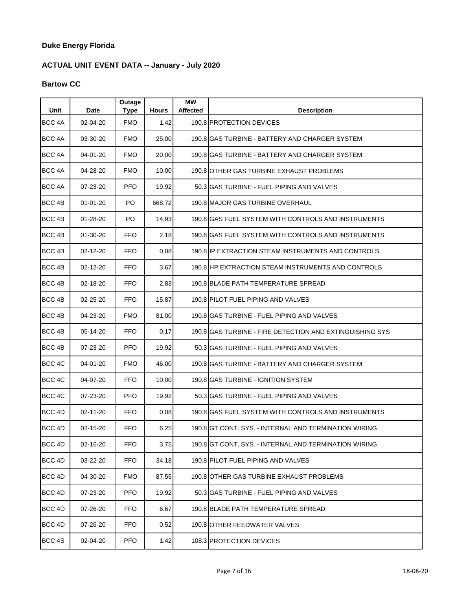# **ACTUAL UNIT EVENT DATA -- January - July 2020**

## **Bartow CC**

| Unit              | Date           | <b>Outage</b><br><b>Type</b> | <b>Hours</b> | МW<br><b>Affected</b> | <b>Description</b>                                       |
|-------------------|----------------|------------------------------|--------------|-----------------------|----------------------------------------------------------|
| BCC <sub>4A</sub> | 02-04-20       | <b>FMO</b>                   | 1.42         |                       | 190.8 PROTECTION DEVICES                                 |
| BCC 4A            | 03-30-20       | <b>FMO</b>                   | 25.00        |                       | 190.8 GAS TURBINE - BATTERY AND CHARGER SYSTEM           |
| BCC <sub>4A</sub> | 04-01-20       | <b>FMO</b>                   | 20.00        |                       | 190.8 IGAS TURBINE - BATTERY AND CHARGER SYSTEM          |
| BCC <sub>4A</sub> | 04-28-20       | <b>FMO</b>                   | 10.00        |                       | 190.8 OTHER GAS TURBINE EXHAUST PROBLEMS                 |
| BCC <sub>4A</sub> | 07-23-20       | <b>PFO</b>                   | 19.92        |                       | 50.3 GAS TURBINE - FUEL PIPING AND VALVES                |
| BCC <sub>4B</sub> | $01 - 01 - 20$ | PO.                          | 668.72       |                       | 190.8 MAJOR GAS TURBINE OVERHAUL                         |
| BCC 4B            | $01 - 28 - 20$ | PO.                          | 14.93        |                       | 190.8 GAS FUEL SYSTEM WITH CONTROLS AND INSTRUMENTS      |
| BCC <sub>4B</sub> | $01 - 30 - 20$ | <b>FFO</b>                   | 2.18         |                       | 190.8 GAS FUEL SYSTEM WITH CONTROLS AND INSTRUMENTS      |
| BCC <sub>4B</sub> | $02 - 12 - 20$ | <b>FFO</b>                   | 0.08         |                       | 190.8 IP EXTRACTION STEAM INSTRUMENTS AND CONTROLS       |
| BCC <sub>4B</sub> | 02-12-20       | <b>FFO</b>                   | 3.67         |                       | 190.8 HP EXTRACTION STEAM INSTRUMENTS AND CONTROLS       |
| BCC <sub>4B</sub> | 02-18-20       | <b>FFO</b>                   | 2.83         |                       | 190.8 BLADE PATH TEMPERATURE SPREAD                      |
| BCC 4B            | 02-25-20       | <b>FFO</b>                   | 15.87        |                       | 190.8 PILOT FUEL PIPING AND VALVES                       |
| BCC <sub>4B</sub> | 04-23-20       | <b>FMO</b>                   | 81.00        |                       | 190.8 GAS TURBINE - FUEL PIPING AND VALVES               |
| BCC <sub>4B</sub> | 05-14-20       | <b>FFO</b>                   | 0.17         |                       | 190.8 GAS TURBINE - FIRE DETECTION AND EXTINGUISHING SYS |
| BCC <sub>4B</sub> | 07-23-20       | <b>PFO</b>                   | 19.92        |                       | 50.3 GAS TURBINE - FUEL PIPING AND VALVES                |
| BCC <sub>4C</sub> | 04-01-20       | <b>FMO</b>                   | 46.00        |                       | 190.8 GAS TURBINE - BATTERY AND CHARGER SYSTEM           |
| BCC <sub>4C</sub> | 04-07-20       | <b>FFO</b>                   | 10.00        |                       | 190.8 GAS TURBINE - IGNITION SYSTEM                      |
| BCC 4C            | 07-23-20       | <b>PFO</b>                   | 19.92        |                       | 50.3 GAS TURBINE - FUEL PIPING AND VALVES                |
| BCC <sub>4D</sub> | $02 - 11 - 20$ | <b>FFO</b>                   | 0.08         |                       | 190.8 GAS FUEL SYSTEM WITH CONTROLS AND INSTRUMENTS      |
| BCC <sub>4D</sub> | 02-15-20       | <b>FFO</b>                   | 6.25         |                       | 190.8 GT CONT, SYS. - INTERNAL AND TERMINATION WIRING    |
| BCC <sub>4D</sub> | 02-16-20       | <b>FFO</b>                   | 3.75         |                       | 190.8 GT CONT. SYS. - INTERNAL AND TERMINATION WIRING    |
| BCC 4D            | 03-22-20       | FFO.                         | 34.18        |                       | 190.8 PILOT FUEL PIPING AND VALVES                       |
| BCC 4D            | 04-30-20       | <b>FMO</b>                   | 87.55        |                       | 190.8 OTHER GAS TURBINE EXHAUST PROBLEMS                 |
| BCC 4D            | 07-23-20       | <b>PFO</b>                   | 19.92        |                       | 50.3 GAS TURBINE - FUEL PIPING AND VALVES                |
| BCC 4D            | 07-26-20       | FFO.                         | 6.67         |                       | 190.8 BLADE PATH TEMPERATURE SPREAD                      |
| BCC 4D            | 07-26-20       | <b>FFO</b>                   | 0.52         |                       | 190.8 OTHER FEEDWATER VALVES                             |
| BCC 4S            | 02-04-20       | <b>PFO</b>                   | 1.42         |                       | 108.3 PROTECTION DEVICES                                 |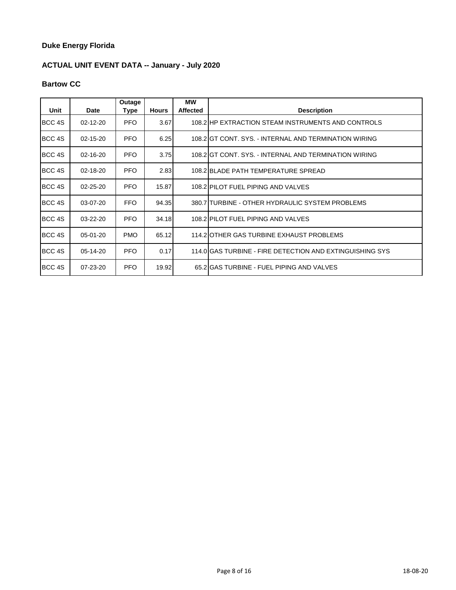# **ACTUAL UNIT EVENT DATA -- January - July 2020**

## **Bartow CC**

| Unit              | Date           | Outage<br>Type | <b>Hours</b> | МW<br><b>Affected</b> | <b>Description</b>                                       |
|-------------------|----------------|----------------|--------------|-----------------------|----------------------------------------------------------|
| BCC 4S            | $02 - 12 - 20$ | <b>PFO</b>     | 3.67         |                       | 108.2 HP EXTRACTION STEAM INSTRUMENTS AND CONTROLS       |
|                   |                |                |              |                       |                                                          |
| BCC 4S            | $02 - 15 - 20$ | <b>PFO</b>     | 6.25         |                       | 108.2 GT CONT. SYS. - INTERNAL AND TERMINATION WIRING    |
| BCC 4S            | 02-16-20       | PFO.           | 3.75         |                       | 108.2 GT CONT. SYS. - INTERNAL AND TERMINATION WIRING    |
| BCC 4S            | 02-18-20       | <b>PFO</b>     | 2.83         |                       | 108.2 BLADE PATH TEMPERATURE SPREAD                      |
| BCC 4S            | $02 - 25 - 20$ | <b>PFO</b>     | 15.87        |                       | 108.2 PILOT FUEL PIPING AND VALVES                       |
| BCC 4S            | 03-07-20       | FFO.           | 94.35        |                       | 380.7 TURBINE - OTHER HYDRAULIC SYSTEM PROBLEMS          |
| BCC <sub>4S</sub> | 03-22-20       | <b>PFO</b>     | 34.18        |                       | 108.2 PILOT FUEL PIPING AND VALVES                       |
| BCC <sub>4S</sub> | 05-01-20       | <b>PMO</b>     | 65.12        |                       | 114.2 OTHER GAS TURBINE EXHAUST PROBLEMS                 |
| BCC 4S            | 05-14-20       | <b>PFO</b>     | 0.17         |                       | 114.0 GAS TURBINE - FIRE DETECTION AND EXTINGUISHING SYS |
| BCC 4S            | $07 - 23 - 20$ | <b>PFO</b>     | 19.92        |                       | 65.2 GAS TURBINE - FUEL PIPING AND VALVES                |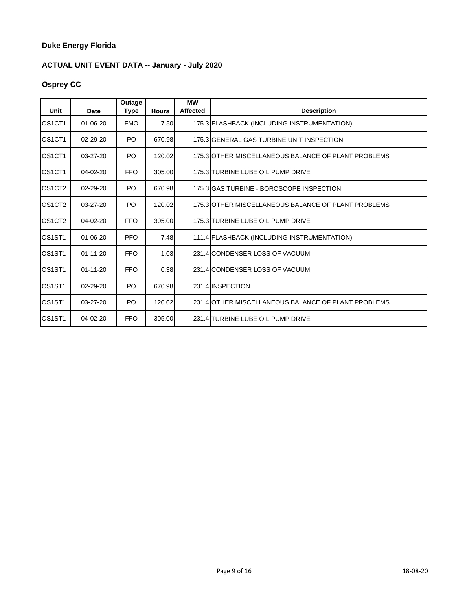## **ACTUAL UNIT EVENT DATA -- January - July 2020**

# **Osprey CC**

| Unit                            | <b>Date</b>    | Outage<br><b>Type</b> | <b>Hours</b> | <b>MW</b><br><b>Affected</b> | <b>Description</b>                                  |
|---------------------------------|----------------|-----------------------|--------------|------------------------------|-----------------------------------------------------|
| OS <sub>1</sub> CT <sub>1</sub> | $01 - 06 - 20$ | <b>FMO</b>            | 7.50         |                              | 175.3 FLASHBACK (INCLUDING INSTRUMENTATION)         |
| OS <sub>1</sub> CT <sub>1</sub> | $02 - 29 - 20$ | PO.                   | 670.98       |                              | 175.3 GENERAL GAS TURBINE UNIT INSPECTION           |
| OS1CT1                          | 03-27-20       | PO.                   | 120.02       |                              | 175.3 OTHER MISCELLANEOUS BALANCE OF PLANT PROBLEMS |
| OS <sub>1</sub> CT <sub>1</sub> | 04-02-20       | <b>FFO</b>            | 305.00       |                              | 175.3 TURBINE LUBE OIL PUMP DRIVE                   |
| OS <sub>1</sub> CT <sub>2</sub> | $02 - 29 - 20$ | PO.                   | 670.98       |                              | 175.3 GAS TURBINE - BOROSCOPE INSPECTION            |
| OS <sub>1</sub> CT <sub>2</sub> | $03 - 27 - 20$ | PO.                   | 120.02       |                              | 175.3 OTHER MISCELLANEOUS BALANCE OF PLANT PROBLEMS |
| OS <sub>1</sub> CT <sub>2</sub> | $04 - 02 - 20$ | <b>FFO</b>            | 305.00       |                              | 175.3 TURBINE LUBE OIL PUMP DRIVE                   |
| OS <sub>1</sub> ST <sub>1</sub> | $01 - 06 - 20$ | <b>PFO</b>            | 7.48         |                              | 111.4 FLASHBACK (INCLUDING INSTRUMENTATION)         |
| OS <sub>1</sub> ST <sub>1</sub> | $01 - 11 - 20$ | <b>FFO</b>            | 1.03         |                              | 231.4 CONDENSER LOSS OF VACUUM                      |
| OS <sub>1</sub> ST <sub>1</sub> | $01 - 11 - 20$ | <b>FFO</b>            | 0.38         |                              | 231.4 CONDENSER LOSS OF VACUUM                      |
| OS <sub>1</sub> ST <sub>1</sub> | $02 - 29 - 20$ | PO.                   | 670.98       |                              | 231.4 INSPECTION                                    |
| OS <sub>1</sub> ST <sub>1</sub> | $03 - 27 - 20$ | PO.                   | 120.02       |                              | 231.4 OTHER MISCELLANEOUS BALANCE OF PLANT PROBLEMS |
| OS <sub>1</sub> ST <sub>1</sub> | $04 - 02 - 20$ | <b>FFO</b>            | 305.00       |                              | 231.4 TURBINE LUBE OIL PUMP DRIVE                   |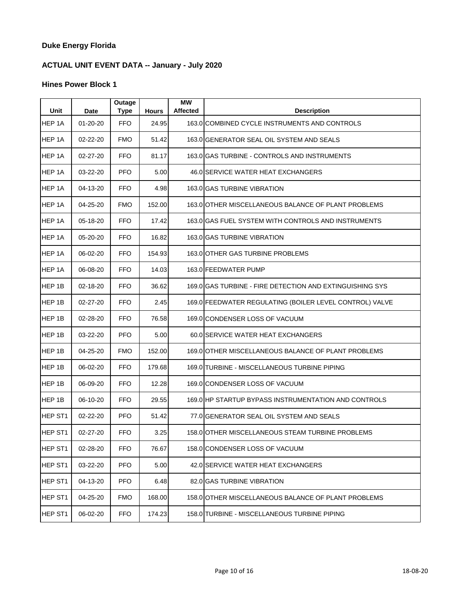## **ACTUAL UNIT EVENT DATA -- January - July 2020**

| Unit                | <b>Date</b>    | Outage<br><b>Type</b> | <b>Hours</b> | <b>MW</b><br><b>Affected</b> | <b>Description</b>                                       |
|---------------------|----------------|-----------------------|--------------|------------------------------|----------------------------------------------------------|
| HEP 1A              | $01 - 20 - 20$ | <b>FFO</b>            | 24.95        |                              | 163.0 COMBINED CYCLE INSTRUMENTS AND CONTROLS            |
| HEP 1A              | 02-22-20       | <b>FMO</b>            | 51.42        |                              | 163.0 GENERATOR SEAL OIL SYSTEM AND SEALS                |
| HEP 1A              | 02-27-20       | <b>FFO</b>            | 81.17        |                              | 163.0 GAS TURBINE - CONTROLS AND INSTRUMENTS             |
| HEP 1A              | 03-22-20       | <b>PFO</b>            | 5.00         |                              | 46.0 SERVICE WATER HEAT EXCHANGERS                       |
| HEP 1A              | 04-13-20       | <b>FFO</b>            | 4.98         |                              | 163.0 GAS TURBINE VIBRATION                              |
| HEP 1A              | 04-25-20       | <b>FMO</b>            | 152.00       |                              | 163.0 OTHER MISCELLANEOUS BALANCE OF PLANT PROBLEMS      |
| HEP 1A              | 05-18-20       | <b>FFO</b>            | 17.42        |                              | 163.0 GAS FUEL SYSTEM WITH CONTROLS AND INSTRUMENTS      |
| HEP 1A              | 05-20-20       | <b>FFO</b>            | 16.82        |                              | 163.0 GAS TURBINE VIBRATION                              |
| HEP <sub>1A</sub>   | 06-02-20       | <b>FFO</b>            | 154.93       |                              | 163.0 OTHER GAS TURBINE PROBLEMS                         |
| HEP 1A              | 06-08-20       | <b>FFO</b>            | 14.03        |                              | 163.0 FEEDWATER PUMP                                     |
| HEP 1B              | 02-18-20       | FFO.                  | 36.62        |                              | 169.0 GAS TURBINE - FIRE DETECTION AND EXTINGUISHING SYS |
| HEP <sub>1B</sub>   | 02-27-20       | <b>FFO</b>            | 2.45         |                              | 169.0 FEEDWATER REGULATING (BOILER LEVEL CONTROL) VALVE  |
| HEP 1B              | 02-28-20       | <b>FFO</b>            | 76.58        |                              | 169.0 CONDENSER LOSS OF VACUUM                           |
| HEP 1B              | 03-22-20       | <b>PFO</b>            | 5.00         |                              | 60.0 SERVICE WATER HEAT EXCHANGERS                       |
| HEP 1B              | 04-25-20       | <b>FMO</b>            | 152.00       |                              | 169.0 OTHER MISCELLANEOUS BALANCE OF PLANT PROBLEMS      |
| HEP 1B              | 06-02-20       | <b>FFO</b>            | 179.68       |                              | 169.0 TURBINE - MISCELLANEOUS TURBINE PIPING             |
| HEP 1B              | 06-09-20       | <b>FFO</b>            | 12.28        |                              | 169.0 CONDENSER LOSS OF VACUUM                           |
| HEP 1B              | 06-10-20       | <b>FFO</b>            | 29.55        |                              | 169.0 HP STARTUP BYPASS INSTRUMENTATION AND CONTROLS     |
| HEP ST <sub>1</sub> | 02-22-20       | <b>PFO</b>            | 51.42        |                              | 77.0 GENERATOR SEAL OIL SYSTEM AND SEALS                 |
| HEP ST1             | 02-27-20       | <b>FFO</b>            | 3.25         |                              | 158.0 OTHER MISCELLANEOUS STEAM TURBINE PROBLEMS         |
| HEP ST1             | 02-28-20       | <b>FFO</b>            | 76.67        |                              | 158.0 CONDENSER LOSS OF VACUUM                           |
| HEP ST1             | 03-22-20       | <b>PFO</b>            | 5.00         |                              | 42.0 SERVICE WATER HEAT EXCHANGERS                       |
| HEP ST1             | 04-13-20       | <b>PFO</b>            | 6.48         |                              | 82.0 GAS TURBINE VIBRATION                               |
| HEP ST1             | 04-25-20       | <b>FMO</b>            | 168.00       |                              | 158.0 OTHER MISCELLANEOUS BALANCE OF PLANT PROBLEMS      |
| HEP ST1             | 06-02-20       | <b>FFO</b>            | 174.23       |                              | 158.0 TURBINE - MISCELLANEOUS TURBINE PIPING             |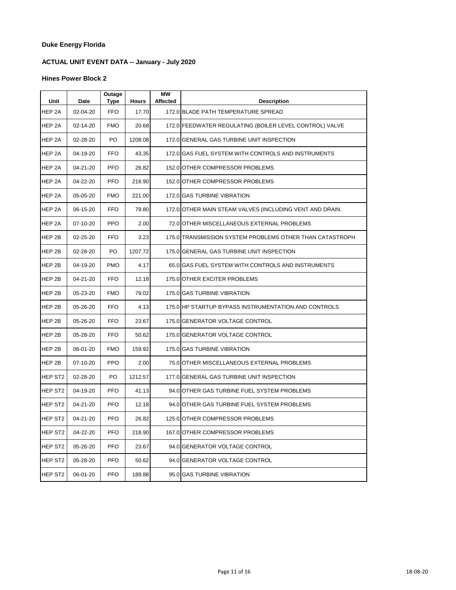## **ACTUAL UNIT EVENT DATA -- January - July 2020**

| Unit                | Date     | Outage<br>Type | <b>Hours</b> | <b>MW</b><br>Affected | <b>Description</b>                                       |
|---------------------|----------|----------------|--------------|-----------------------|----------------------------------------------------------|
| HEP 2A              | 02-04-20 | <b>FFO</b>     | 17.70        |                       | 172.0 BLADE PATH TEMPERATURE SPREAD                      |
| HEP 2A              | 02-14-20 | <b>FMO</b>     | 20.68        |                       | 172.0 FEEDWATER REGULATING (BOILER LEVEL CONTROL) VALVE  |
| HEP 2A              | 02-28-20 | PO.            | 1208.08      |                       | 172.0 GENERAL GAS TURBINE UNIT INSPECTION                |
| HEP 2A              | 04-19-20 | <b>FFO</b>     | 43.35        |                       | 172.0 GAS FUEL SYSTEM WITH CONTROLS AND INSTRUMENTS      |
| HEP 2A              | 04-21-20 | <b>PFO</b>     | 26.82        |                       | 152.0 OTHER COMPRESSOR PROBLEMS                          |
| HEP 2A              | 04-22-20 | <b>PFO</b>     | 218.90       |                       | 152.0 OTHER COMPRESSOR PROBLEMS                          |
| HEP 2A              | 05-05-20 | <b>FMO</b>     | 221.00       |                       | 172.0 GAS TURBINE VIBRATION                              |
| HEP 2A              | 06-15-20 | <b>FFO</b>     | 79.80        |                       | 172.0 OTHER MAIN STEAM VALVES (INCLUDING VENT AND DRAIN. |
| HEP 2A              | 07-10-20 | <b>PPO</b>     | 2.00         |                       | 72.0 OTHER MISCELLANEOUS EXTERNAL PROBLEMS               |
| HEP 2B              | 02-25-20 | <b>FFO</b>     | 3.23         |                       | 175.0 TRANSMISSION SYSTEM PROBLEMS OTHER THAN CATASTROPH |
| HEP 2B              | 02-28-20 | PO.            | 1207.72      |                       | 175.0 GENERAL GAS TURBINE UNIT INSPECTION                |
| HEP 2B              | 04-19-20 | <b>PMO</b>     | 4.17         |                       | 65.0 IGAS FUEL SYSTEM WITH CONTROLS AND INSTRUMENTS      |
| HEP 2B              | 04-21-20 | FFO.           | 12.18        |                       | 175.0 OTHER EXCITER PROBLEMS                             |
| HEP 2B              | 05-23-20 | <b>FMO</b>     | 79.02        |                       | 175.0 GAS TURBINE VIBRATION                              |
| HEP 2B              | 05-26-20 | <b>FFO</b>     | 4.13         |                       | 175.0 HP STARTUP BYPASS INSTRUMENTATION AND CONTROLS     |
| HEP 2B              | 05-26-20 | <b>FFO</b>     | 23.67        |                       | 175.0 GENERATOR VOLTAGE CONTROL                          |
| HEP 2B              | 05-28-20 | <b>FFO</b>     | 50.62        |                       | 175.0 GENERATOR VOLTAGE CONTROL                          |
| HEP 2B              | 06-01-20 | <b>FMO</b>     | 159.92       |                       | 175.0 GAS TURBINE VIBRATION                              |
| HEP 2B              | 07-10-20 | <b>PPO</b>     | 2.00         |                       | 75.0 OTHER MISCELLANEOUS EXTERNAL PROBLEMS               |
| HEP ST <sub>2</sub> | 02-28-20 | PO.            | 1212.57      |                       | 177.0 GENERAL GAS TURBINE UNIT INSPECTION                |
| HEP ST <sub>2</sub> | 04-19-20 | <b>PFO</b>     | 41.13        |                       | 94.0 OTHER GAS TURBINE FUEL SYSTEM PROBLEMS              |
| HEP ST2             | 04-21-20 | <b>PFO</b>     | 12.18        |                       | 94.0 OTHER GAS TURBINE FUEL SYSTEM PROBLEMS              |
| HEP ST <sub>2</sub> | 04-21-20 | <b>PFO</b>     | 26.82        |                       | 125.0 OTHER COMPRESSOR PROBLEMS                          |
| HEP ST <sub>2</sub> | 04-22-20 | <b>PFO</b>     | 218.90       |                       | 167.0 OTHER COMPRESSOR PROBLEMS                          |
| HEP ST <sub>2</sub> | 05-26-20 | <b>PFO</b>     | 23.67        |                       | 94.0 GENERATOR VOLTAGE CONTROL                           |
| HEP ST <sub>2</sub> | 05-28-20 | <b>PFO</b>     | 50.62        |                       | 94.0 GENERATOR VOLTAGE CONTROL                           |
| HEP ST <sub>2</sub> | 06-01-20 | <b>PFO</b>     | 189.88       |                       | 95.0 GAS TURBINE VIBRATION                               |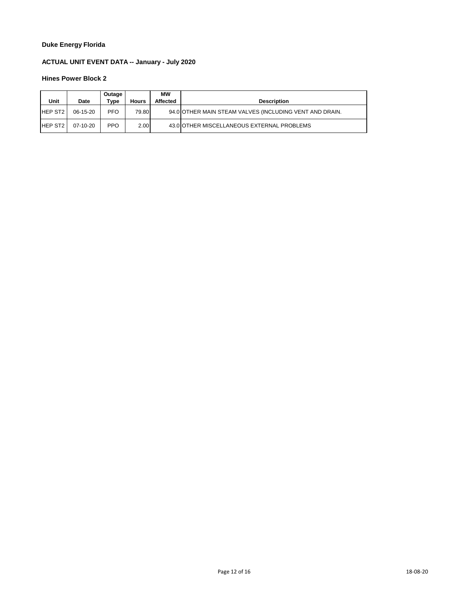## **ACTUAL UNIT EVENT DATA -- January - July 2020**

| Unit           | Date       | Outage<br>Type | <b>Hours</b> | МW<br>Affected | <b>Description</b>                                      |
|----------------|------------|----------------|--------------|----------------|---------------------------------------------------------|
| <b>HEP ST2</b> | $06-15-20$ | <b>PFO</b>     | 79.80        |                | 94.0 OTHER MAIN STEAM VALVES (INCLUDING VENT AND DRAIN. |
| <b>HEP ST2</b> | $07-10-20$ | <b>PPO</b>     | 2.00         |                | 43.0 OTHER MISCELLANEOUS EXTERNAL PROBLEMS              |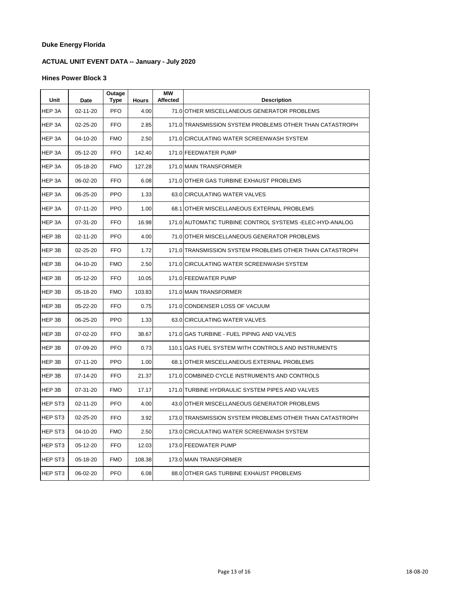## **ACTUAL UNIT EVENT DATA -- January - July 2020**

| Unit    | Date     | Outage<br><b>Type</b> | <b>Hours</b> | МW<br><b>Affected</b> | <b>Description</b>                                        |
|---------|----------|-----------------------|--------------|-----------------------|-----------------------------------------------------------|
| HEP 3A  | 02-11-20 | <b>PFO</b>            | 4.00         |                       | 71.0 OTHER MISCELLANEOUS GENERATOR PROBLEMS               |
| HEP 3A  | 02-25-20 | <b>FFO</b>            | 2.85         |                       | 171.0 TRANSMISSION SYSTEM PROBLEMS OTHER THAN CATASTROPH  |
| HEP 3A  | 04-10-20 | <b>FMO</b>            | 2.50         |                       | 171.0 CIRCULATING WATER SCREENWASH SYSTEM                 |
| HEP 3A  | 05-12-20 | <b>FFO</b>            | 142.40       |                       | 171.0 FEEDWATER PUMP                                      |
| HEP 3A  | 05-18-20 | <b>FMO</b>            | 127.28       |                       | 171.0 MAIN TRANSFORMER                                    |
| HEP 3A  | 06-02-20 | <b>FFO</b>            | 6.08         |                       | 171.0 OTHER GAS TURBINE EXHAUST PROBLEMS                  |
| HEP 3A  | 06-25-20 | <b>PPO</b>            | 1.33         |                       | 63.0 CIRCULATING WATER VALVES                             |
| HEP 3A  | 07-11-20 | <b>PPO</b>            | 1.00         |                       | 68.1 OTHER MISCELLANEOUS EXTERNAL PROBLEMS                |
| HEP 3A  | 07-31-20 | <b>FFO</b>            | 16.98        |                       | 171.0 AUTOMATIC TURBINE CONTROL SYSTEMS - ELEC-HYD-ANALOG |
| HEP 3B  | 02-11-20 | <b>PFO</b>            | 4.00         |                       | 71.0 OTHER MISCELLANEOUS GENERATOR PROBLEMS               |
| HEP 3B  | 02-25-20 | <b>FFO</b>            | 1.72         |                       | 171.0 TRANSMISSION SYSTEM PROBLEMS OTHER THAN CATASTROPH  |
| HEP 3B  | 04-10-20 | <b>FMO</b>            | 2.50         |                       | 171.0 CIRCULATING WATER SCREENWASH SYSTEM                 |
| HEP 3B  | 05-12-20 | <b>FFO</b>            | 10.05        |                       | 171.0 FEEDWATER PUMP                                      |
| HEP 3B  | 05-18-20 | <b>FMO</b>            | 103.83       |                       | 171.0 MAIN TRANSFORMER                                    |
| HEP 3B  | 05-22-20 | <b>FFO</b>            | 0.75         |                       | 171.0 CONDENSER LOSS OF VACUUM                            |
| HEP 3B  | 06-25-20 | <b>PPO</b>            | 1.33         |                       | 63.0 CIRCULATING WATER VALVES                             |
| HEP 3B  | 07-02-20 | <b>FFO</b>            | 38.67        |                       | 171.0 GAS TURBINE - FUEL PIPING AND VALVES                |
| HEP 3B  | 07-09-20 | <b>PFO</b>            | 0.73         |                       | 110.1 GAS FUEL SYSTEM WITH CONTROLS AND INSTRUMENTS       |
| HEP 3B  | 07-11-20 | <b>PPO</b>            | 1.00         |                       | 68.1 OTHER MISCELLANEOUS EXTERNAL PROBLEMS                |
| HEP 3B  | 07-14-20 | <b>FFO</b>            | 21.37        |                       | 171.0 COMBINED CYCLE INSTRUMENTS AND CONTROLS             |
| HEP 3B  | 07-31-20 | <b>FMO</b>            | 17.17        |                       | 171.0 TURBINE HYDRAULIC SYSTEM PIPES AND VALVES           |
| HEP ST3 | 02-11-20 | <b>PFO</b>            | 4.00         |                       | 43.0 OTHER MISCELLANEOUS GENERATOR PROBLEMS               |
| HEP ST3 | 02-25-20 | <b>FFO</b>            | 3.92         |                       | 173.0 TRANSMISSION SYSTEM PROBLEMS OTHER THAN CATASTROPH  |
| HEP ST3 | 04-10-20 | <b>FMO</b>            | 2.50         |                       | 173.0 CIRCULATING WATER SCREENWASH SYSTEM                 |
| HEP ST3 | 05-12-20 | FFO                   | 12.03        |                       | 173.0 FEEDWATER PUMP                                      |
| HEP ST3 | 05-18-20 | <b>FMO</b>            | 108.38       |                       | 173.0 MAIN TRANSFORMER                                    |
| HEP ST3 | 06-02-20 | <b>PFO</b>            | 6.08         |                       | 88.0 OTHER GAS TURBINE EXHAUST PROBLEMS                   |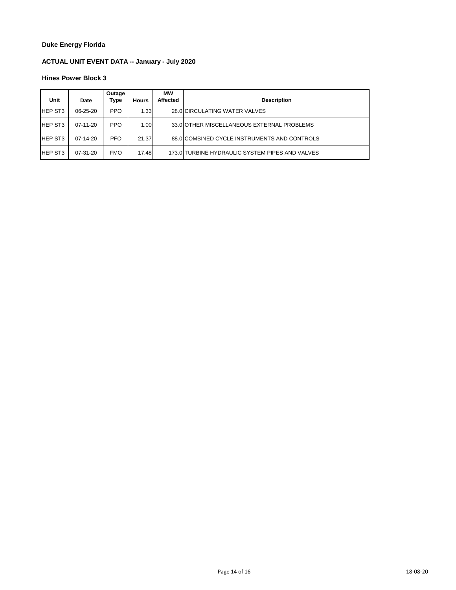## **ACTUAL UNIT EVENT DATA -- January - July 2020**

| Unit           | Date           | Outage<br>Type | <b>Hours</b> | <b>MW</b><br><b>Affected</b> | <b>Description</b>                              |
|----------------|----------------|----------------|--------------|------------------------------|-------------------------------------------------|
| <b>HEP ST3</b> | $06 - 25 - 20$ | <b>PPO</b>     | 1.33         |                              | 28.0 CIRCULATING WATER VALVES                   |
| <b>HEP ST3</b> | $07-11-20$     | <b>PPO</b>     | 1.00         |                              | 33.0 OTHER MISCELLANEOUS EXTERNAL PROBLEMS      |
| <b>HEP ST3</b> | $07-14-20$     | <b>PFO</b>     | 21.37        |                              | 88.0 COMBINED CYCLE INSTRUMENTS AND CONTROLS    |
| <b>HEP ST3</b> | $07 - 31 - 20$ | <b>FMO</b>     | 17.48        |                              | 173.0 TURBINE HYDRAULIC SYSTEM PIPES AND VALVES |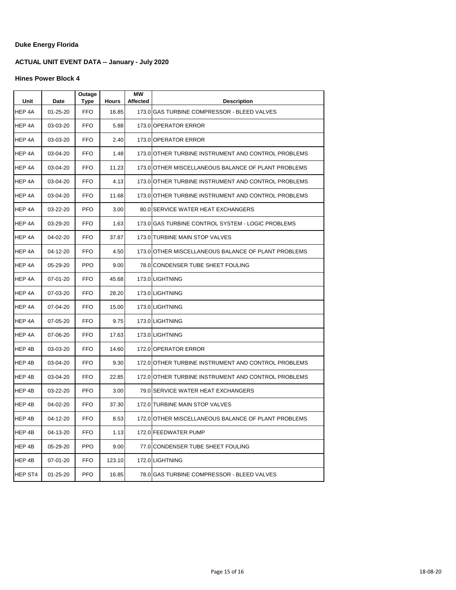## **ACTUAL UNIT EVENT DATA -- January - July 2020**

| Unit    | Date           | Outage<br><b>Type</b> | <b>Hours</b> | МW<br>Affected | <b>Description</b>                                  |
|---------|----------------|-----------------------|--------------|----------------|-----------------------------------------------------|
| HEP 4A  | 01-25-20       | <b>FFO</b>            | 16.85        |                | 173.0 GAS TURBINE COMPRESSOR - BLEED VALVES         |
| HEP 4A  | 03-03-20       | <b>FFO</b>            | 5.88         |                | 173.0 OPERATOR ERROR                                |
| HEP 4A  | 03-03-20       | FFO                   | 2.40         |                | 173.0 OPERATOR ERROR                                |
| HEP 4A  | 03-04-20       | <b>FFO</b>            | 1.48         |                | 173.0 OTHER TURBINE INSTRUMENT AND CONTROL PROBLEMS |
| HEP 4A  | 03-04-20       | <b>FFO</b>            | 11.23        |                | 173.0 OTHER MISCELLANEOUS BALANCE OF PLANT PROBLEMS |
| HEP 4A  | 03-04-20       | <b>FFO</b>            | 4.13         |                | 173.0 OTHER TURBINE INSTRUMENT AND CONTROL PROBLEMS |
| HEP 4A  | 03-04-20       | <b>FFO</b>            | 11.68        |                | 173.0 OTHER TURBINE INSTRUMENT AND CONTROL PROBLEMS |
| HEP 4A  | 03-22-20       | <b>PFO</b>            | 3.00         |                | 80.0 SERVICE WATER HEAT EXCHANGERS                  |
| HEP 4A  | 03-29-20       | <b>FFO</b>            | 1.63         |                | 173.0 GAS TURBINE CONTROL SYSTEM - LOGIC PROBLEMS   |
| HEP 4A  | 04-02-20       | <b>FFO</b>            | 37.87        |                | 173.0 TURBINE MAIN STOP VALVES                      |
| HEP 4A  | 04-12-20       | <b>FFO</b>            | 4.50         |                | 173.0 OTHER MISCELLANEOUS BALANCE OF PLANT PROBLEMS |
| HEP 4A  | 05-29-20       | <b>PPO</b>            | 9.00         |                | 78.0 CONDENSER TUBE SHEET FOULING                   |
| HEP 4A  | $07 - 01 - 20$ | <b>FFO</b>            | 45.68        |                | 173.0 LIGHTNING                                     |
| HEP 4A  | 07-03-20       | <b>FFO</b>            | 28.20        |                | 173.0 LIGHTNING                                     |
| HEP 4A  | 07-04-20       | FFO                   | 15.00        |                | 173.0 LIGHTNING                                     |
| HEP 4A  | 07-05-20       | <b>FFO</b>            | 9.75         |                | 173.0 LIGHTNING                                     |
| HEP 4A  | 07-06-20       | <b>FFO</b>            | 17.63        |                | 173.0 LIGHTNING                                     |
| HEP 4B  | 03-03-20       | <b>FFO</b>            | 14.60        |                | 172.0 OPERATOR ERROR                                |
| HEP 4B  | 03-04-20       | FFO                   | 9.30         |                | 172.0 OTHER TURBINE INSTRUMENT AND CONTROL PROBLEMS |
| HEP 4B  | 03-04-20       | FFO                   | 22.85        |                | 172.0 OTHER TURBINE INSTRUMENT AND CONTROL PROBLEMS |
| HEP 4B  | 03-22-20       | <b>PFO</b>            | 3.00         |                | 79.0 SERVICE WATER HEAT EXCHANGERS                  |
| HEP 4B  | 04-02-20       | FFO                   | 37.30        |                | 172.0 TURBINE MAIN STOP VALVES                      |
| HEP 4B  | 04-12-20       | <b>FFO</b>            | 8.53         |                | 172.0 OTHER MISCELLANEOUS BALANCE OF PLANT PROBLEMS |
| HEP 4B  | 04-13-20       | <b>FFO</b>            | 1.13         |                | 172.0 FEEDWATER PUMP                                |
| HEP 4B  | 05-29-20       | <b>PPO</b>            | 9.00         |                | 77.0 CONDENSER TUBE SHEET FOULING                   |
| HEP 4B  | 07-01-20       | <b>FFO</b>            | 123.10       |                | 172.0 LIGHTNING                                     |
| HEP ST4 | 01-25-20       | <b>PFO</b>            | 16.85        |                | 78.0 GAS TURBINE COMPRESSOR - BLEED VALVES          |